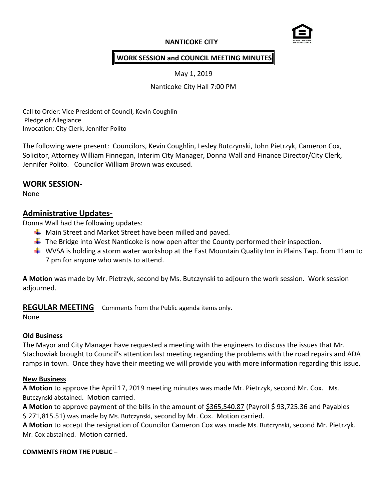# **NANTICOKE CITY**



### **WORK SESSION and COUNCIL MEETING MINUTES**

May 1, 2019

Nanticoke City Hall 7:00 PM

Call to Order: Vice President of Council, Kevin Coughlin Pledge of Allegiance Invocation: City Clerk, Jennifer Polito

The following were present: Councilors, Kevin Coughlin, Lesley Butczynski, John Pietrzyk, Cameron Cox, Solicitor, Attorney William Finnegan, Interim City Manager, Donna Wall and Finance Director/City Clerk, Jennifer Polito. Councilor William Brown was excused.

### **WORK SESSION-**

None

# **Administrative Updates-**

Donna Wall had the following updates:

- $\frac{1}{2}$  Main Street and Market Street have been milled and paved.
- $\ddot{\phantom{1}}$  The Bridge into West Nanticoke is now open after the County performed their inspection.
- WVSA is holding a storm water workshop at the East Mountain Quality Inn in Plains Twp. from 11am to 7 pm for anyone who wants to attend.

**A Motion** was made by Mr. Pietrzyk, second by Ms. Butczynski to adjourn the work session. Work session adjourned.

# **REGULAR MEETING** Comments from the Public agenda items only.

None

### **Old Business**

The Mayor and City Manager have requested a meeting with the engineers to discuss the issues that Mr. Stachowiak brought to Council's attention last meeting regarding the problems with the road repairs and ADA ramps in town. Once they have their meeting we will provide you with more information regarding this issue.

### **New Business**

**A Motion** to approve the April 17, 2019 meeting minutes was made Mr. Pietrzyk, second Mr. Cox. Ms. Butczynski abstained. Motion carried.

**A Motion** to approve payment of the bills in the amount of \$365,540.87 (Payroll \$ 93,725.36 and Payables \$ 271,815.51) was made by Ms. Butczynski, second by Mr. Cox. Motion carried.

**A Motion** to accept the resignation of Councilor Cameron Cox was made Ms. Butczynski, second Mr. Pietrzyk. Mr. Cox abstained. Motion carried.

#### **COMMENTS FROM THE PUBLIC –**